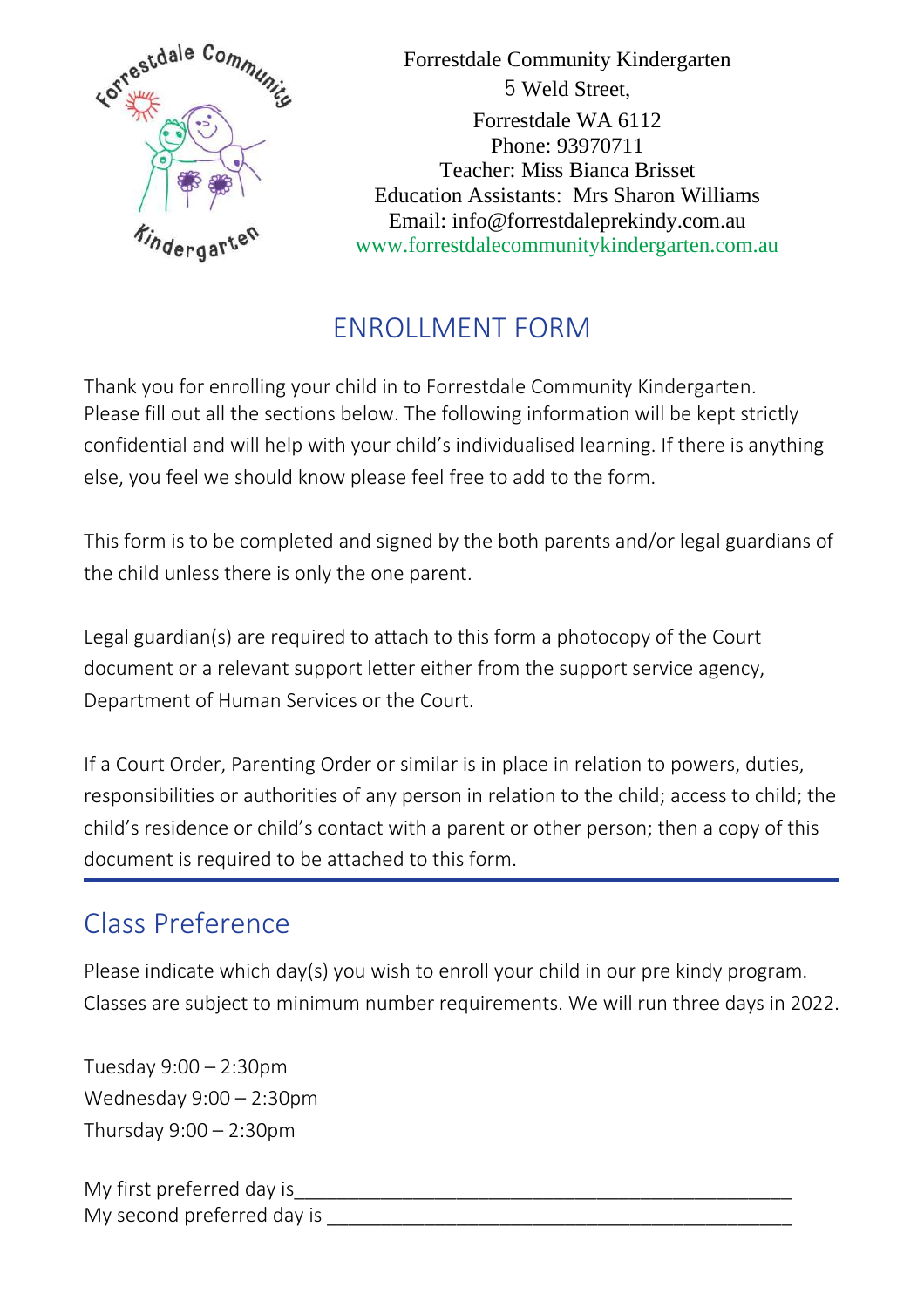

Forrestdale Community Kindergarten 5 Weld Street, Forrestdale WA 6112 Phone: 93970711 Teacher: Miss Bianca Brisset Education Assistants: Mrs Sharon Williams Email: info@forrestdaleprekindy.com.au www.forrestdalecommunitykindergarten.com.au

## ENROLLMENT FORM

Thank you for enrolling your child in to Forrestdale Community Kindergarten. Please fill out all the sections below. The following information will be kept strictly confidential and will help with your child's individualised learning. If there is anything else, you feel we should know please feel free to add to the form.

This form is to be completed and signed by the both parents and/or legal guardians of the child unless there is only the one parent.

Legal guardian(s) are required to attach to this form a photocopy of the Court document or a relevant support letter either from the support service agency, Department of Human Services or the Court.

If a Court Order, Parenting Order or similar is in place in relation to powers, duties, responsibilities or authorities of any person in relation to the child; access to child; the child's residence or child's contact with a parent or other person; then a copy of this document is required to be attached to this form.

## Class Preference

Please indicate which day(s) you wish to enroll your child in our pre kindy program. Classes are subject to minimum number requirements. We will run three days in 2022.

Tuesday 9:00 – 2:30pm Wednesday 9:00 – 2:30pm Thursday 9:00 – 2:30pm

My first preferred day is My second preferred day is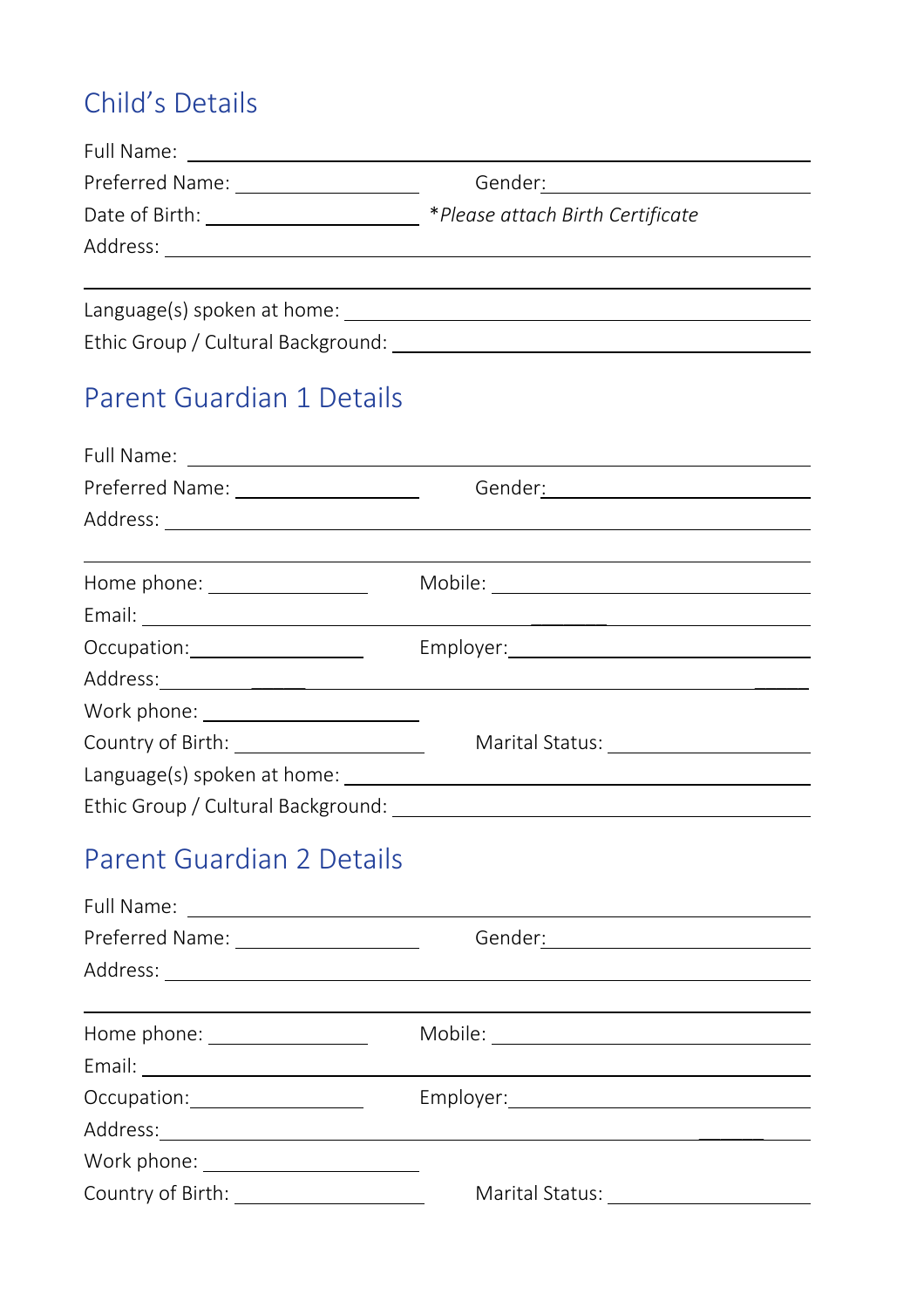# Child's Details

| Full Name:                         |                                  |
|------------------------------------|----------------------------------|
| Preferred Name:                    | Gender:                          |
| Date of Birth:                     | *Please attach Birth Certificate |
| Address:                           |                                  |
|                                    |                                  |
| Language(s) spoken at home:        |                                  |
| Ethic Group / Cultural Background: |                                  |

## Parent Guardian 1 Details

| Preferred Name: _____________________ | Gender <u>: ________________________________</u>                                                                                                                                                                                     |
|---------------------------------------|--------------------------------------------------------------------------------------------------------------------------------------------------------------------------------------------------------------------------------------|
|                                       |                                                                                                                                                                                                                                      |
|                                       |                                                                                                                                                                                                                                      |
| Home phone: _________________         |                                                                                                                                                                                                                                      |
|                                       | Email: No. 2014 - Email: No. 2014 - Email: No. 2014 - Email: No. 2014 - Email: No. 2014 - Email: No. 2014 - Email: No. 2014 - Email: No. 2014 - Email: No. 2014 - Email: No. 2014 - Email: No. 2014 - Email: No. 2014 - Email:       |
|                                       |                                                                                                                                                                                                                                      |
|                                       | Address: <u>Address: Address: Address: Address: Address: Address: Address: Address: Address: Address: Address: Address: Address: Address: Address: Address: Address: Address: Address: Address: Address: Address: Address: Addre</u> |
|                                       |                                                                                                                                                                                                                                      |
|                                       |                                                                                                                                                                                                                                      |
|                                       |                                                                                                                                                                                                                                      |
|                                       |                                                                                                                                                                                                                                      |

## Parent Guardian 2 Details

| Preferred Name: ___________________<br>Gender: __________________ |                                      |  |
|-------------------------------------------------------------------|--------------------------------------|--|
|                                                                   |                                      |  |
|                                                                   |                                      |  |
| Home phone: _________________                                     |                                      |  |
|                                                                   |                                      |  |
|                                                                   |                                      |  |
|                                                                   |                                      |  |
| Work phone: ________________________                              |                                      |  |
| Country of Birth: <u>_______________________</u>                  | Marital Status: <u>_____________</u> |  |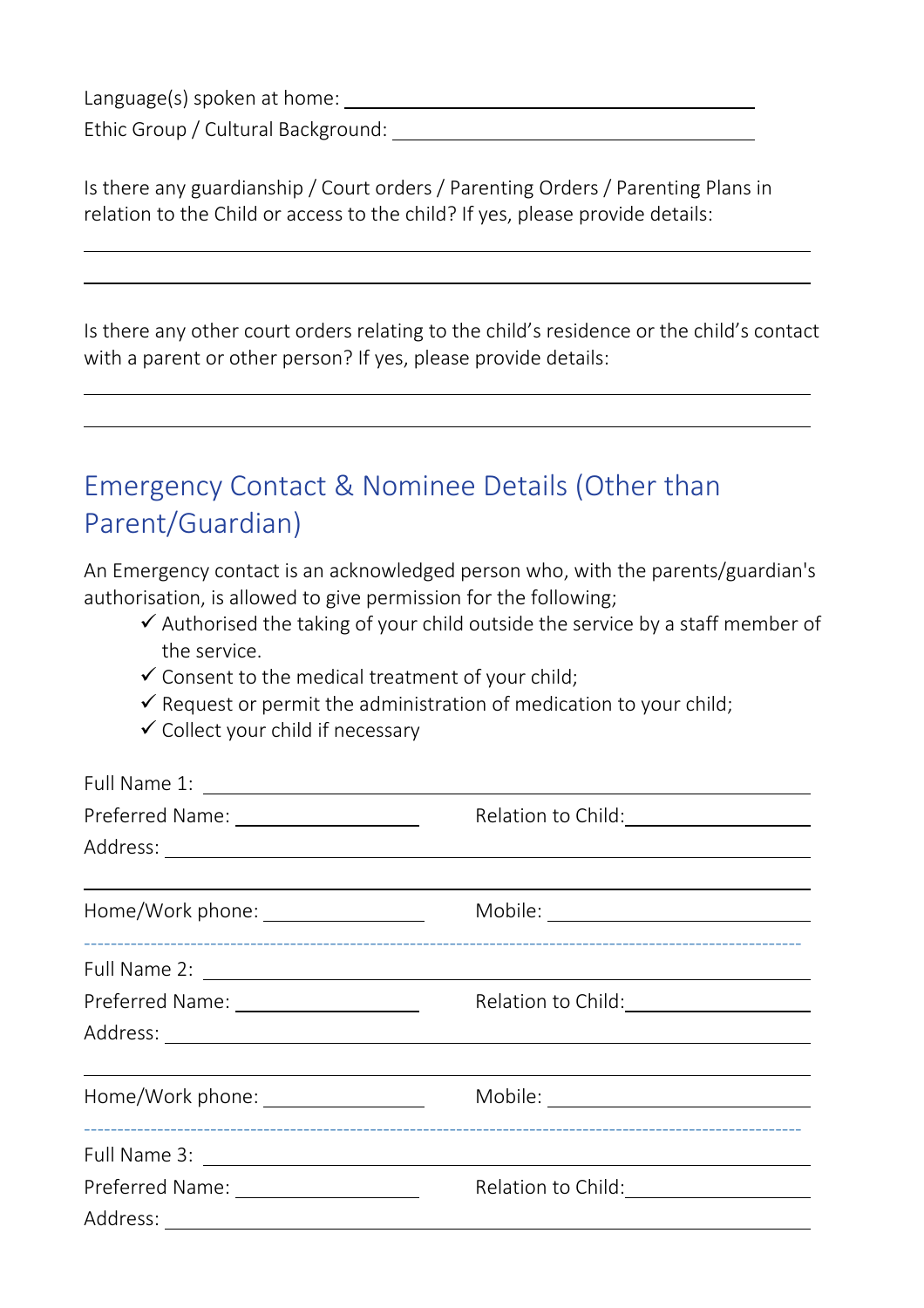Language(s) spoken at home:

Ethic Group / Cultural Background:

Is there any guardianship / Court orders / Parenting Orders / Parenting Plans in relation to the Child or access to the child? If yes, please provide details:

Is there any other court orders relating to the child's residence or the child's contact with a parent or other person? If yes, please provide details:

### Emergency Contact & Nominee Details (Other than Parent/Guardian)

An Emergency contact is an acknowledged person who, with the parents/guardian's authorisation, is allowed to give permission for the following;

- $\checkmark$  Authorised the taking of your child outside the service by a staff member of the service.
- $\checkmark$  Consent to the medical treatment of your child;
- $\checkmark$  Request or permit the administration of medication to your child;
- $\checkmark$  Collect your child if necessary

| Home/Work phone: __________________   | $\begin{picture}(150,10) \put(0,0){\vector(1,0){100}} \put(15,0){\vector(1,0){100}} \put(15,0){\vector(1,0){100}} \put(15,0){\vector(1,0){100}} \put(15,0){\vector(1,0){100}} \put(15,0){\vector(1,0){100}} \put(15,0){\vector(1,0){100}} \put(15,0){\vector(1,0){100}} \put(15,0){\vector(1,0){100}} \put(15,0){\vector(1,0){100}} \put(15,0){\vector(1,0){100}}$ |
|---------------------------------------|--------------------------------------------------------------------------------------------------------------------------------------------------------------------------------------------------------------------------------------------------------------------------------------------------------------------------------------------------------------------|
|                                       |                                                                                                                                                                                                                                                                                                                                                                    |
| Preferred Name: _____________________ | Relation to Child: \\sqrtdgs\sqrtdgs\sqrtdgs\sqrtdgs\sqrtdgs\sqrtdgs\sqrtdgs\sqrt                                                                                                                                                                                                                                                                                  |
|                                       |                                                                                                                                                                                                                                                                                                                                                                    |
| Home/Work phone: _________________    | Mobile: ____________________________                                                                                                                                                                                                                                                                                                                               |
|                                       |                                                                                                                                                                                                                                                                                                                                                                    |
|                                       | Relation to Child: \\sqrtdgs\\sqrtdgs\sqrtdgs\sqrtdgs\sqrtdgs\sqrtdgs\sqrtdgs\sqr                                                                                                                                                                                                                                                                                  |
|                                       |                                                                                                                                                                                                                                                                                                                                                                    |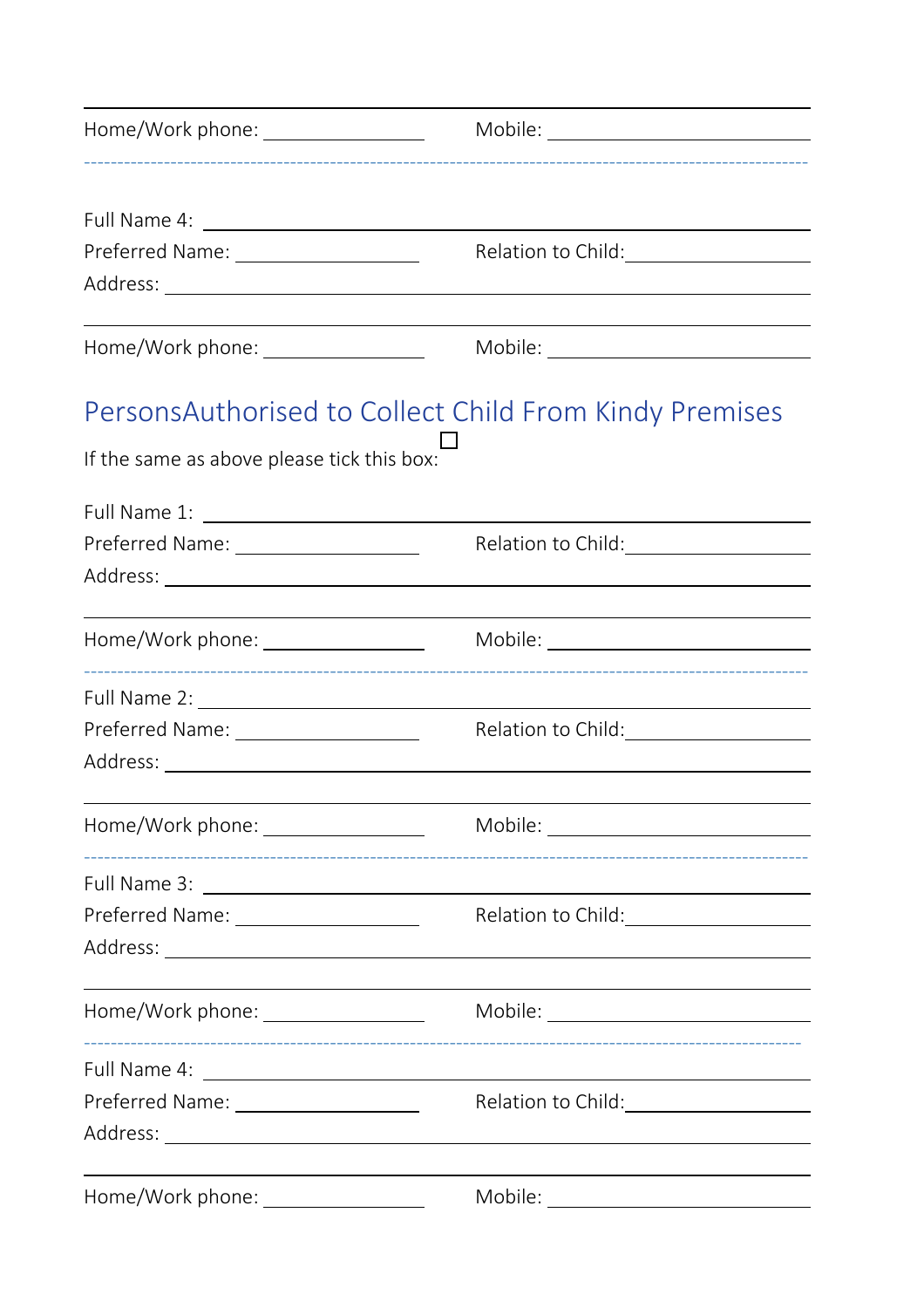| Home/Work phone: _________________         | Mobile: ____________________________                                              |  |  |
|--------------------------------------------|-----------------------------------------------------------------------------------|--|--|
|                                            |                                                                                   |  |  |
|                                            |                                                                                   |  |  |
| Preferred Name: ______________________     |                                                                                   |  |  |
|                                            |                                                                                   |  |  |
|                                            |                                                                                   |  |  |
| Home/Work phone: _________________         | Mobile: _____________________________                                             |  |  |
|                                            | Persons Authorised to Collect Child From Kindy Premises                           |  |  |
| If the same as above please tick this box: |                                                                                   |  |  |
|                                            |                                                                                   |  |  |
| Preferred Name: ________________________   | Relation to Child:                                                                |  |  |
|                                            |                                                                                   |  |  |
|                                            |                                                                                   |  |  |
|                                            |                                                                                   |  |  |
| Preferred Name: ____________________       | Relation to Child: \\sqrtdgs\\sqrtdgs\sqrtdgs\sqrtdgs\sqrtdgs\sqrtdgs\sqrtdgs\sqr |  |  |
|                                            |                                                                                   |  |  |
| Home/Work phone: __________________        |                                                                                   |  |  |
|                                            |                                                                                   |  |  |
|                                            |                                                                                   |  |  |
|                                            |                                                                                   |  |  |
|                                            |                                                                                   |  |  |
|                                            |                                                                                   |  |  |
| Preferred Name: ________________________   |                                                                                   |  |  |
|                                            |                                                                                   |  |  |
| Home/Work phone: _________________         |                                                                                   |  |  |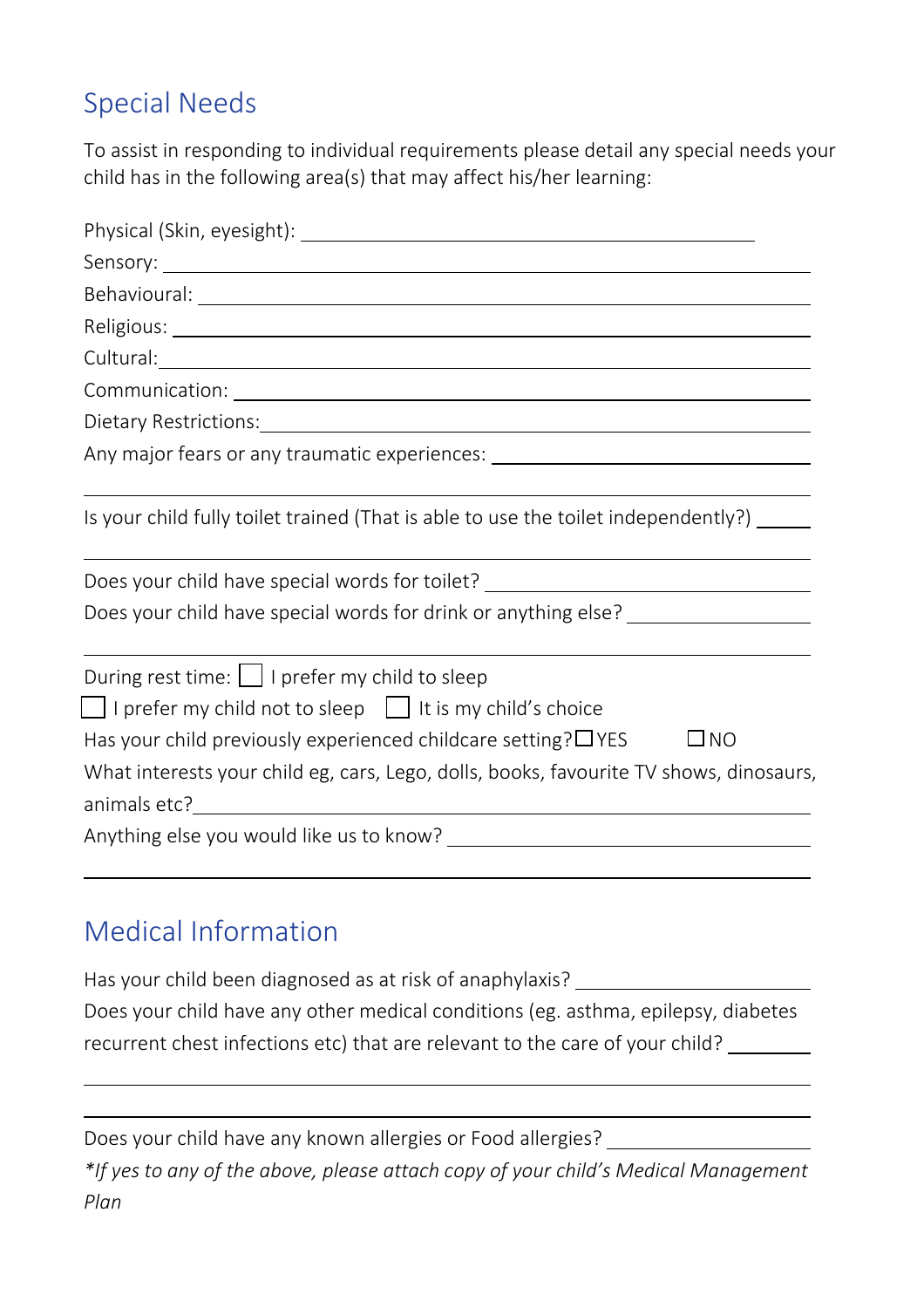## Special Needs

To assist in responding to individual requirements please detail any special needs your child has in the following area(s) that may affect his/her learning:

| Cultural: <u>Cultural: Executive Cultural</u>                                                                                                                                                                                                                                                                            |
|--------------------------------------------------------------------------------------------------------------------------------------------------------------------------------------------------------------------------------------------------------------------------------------------------------------------------|
|                                                                                                                                                                                                                                                                                                                          |
|                                                                                                                                                                                                                                                                                                                          |
| Any major fears or any traumatic experiences: __________________________________                                                                                                                                                                                                                                         |
| Is your child fully toilet trained (That is able to use the toilet independently?)                                                                                                                                                                                                                                       |
| Does your child have special words for toilet? _________________________________                                                                                                                                                                                                                                         |
| Does your child have special words for drink or anything else? _________________                                                                                                                                                                                                                                         |
| During rest time: $\boxed{\phantom{a}}$ I prefer my child to sleep<br>$\Box$ I prefer my child not to sleep $\Box$ It is my child's choice<br>Has your child previously experienced childcare setting? $\Box$ YES<br>$\Box$ NO<br>What interests your child eg, cars, Lego, dolls, books, favourite TV shows, dinosaurs, |
|                                                                                                                                                                                                                                                                                                                          |

### Medical Information

Has your child been diagnosed as at risk of anaphylaxis? \_\_\_\_\_\_\_\_\_\_\_\_\_\_\_\_\_\_\_\_\_\_\_ Does your child have any other medical conditions (eg. asthma, epilepsy, diabetes recurrent chest infections etc) that are relevant to the care of your child?

Does your child have any known allergies or Food allergies? *\*If yes to any of the above, please attach copy of your child's Medical Management Plan*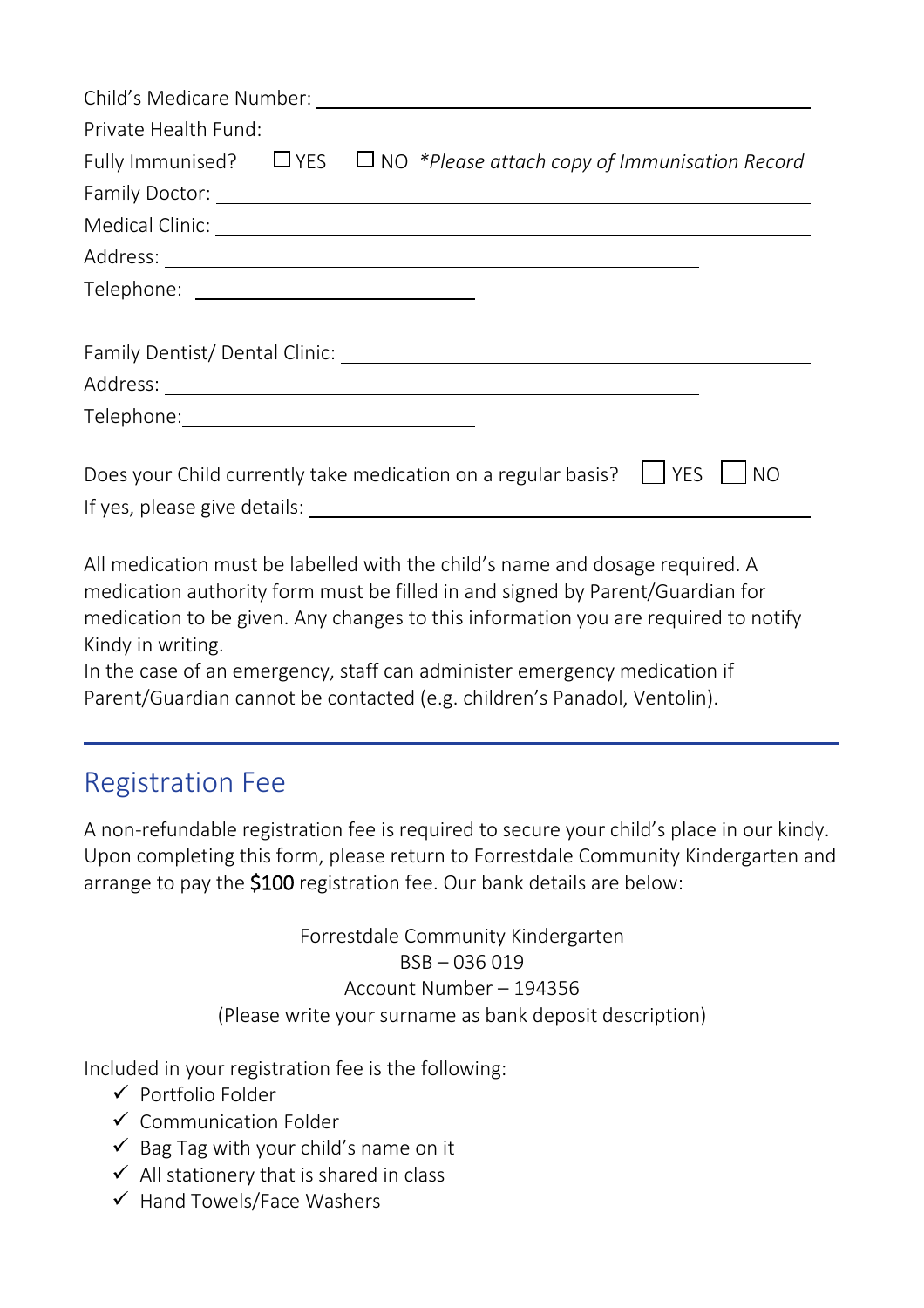|                                            |  | Fully Immunised? $\Box$ YES $\Box$ NO *Please attach copy of Immunisation Record                                                                                                                                              |
|--------------------------------------------|--|-------------------------------------------------------------------------------------------------------------------------------------------------------------------------------------------------------------------------------|
|                                            |  |                                                                                                                                                                                                                               |
|                                            |  |                                                                                                                                                                                                                               |
|                                            |  |                                                                                                                                                                                                                               |
|                                            |  |                                                                                                                                                                                                                               |
|                                            |  |                                                                                                                                                                                                                               |
|                                            |  |                                                                                                                                                                                                                               |
|                                            |  |                                                                                                                                                                                                                               |
| Telephone:________________________________ |  |                                                                                                                                                                                                                               |
|                                            |  |                                                                                                                                                                                                                               |
|                                            |  | Does your Child currently take medication on a regular basis? $\Box$ YES<br><b>INO</b>                                                                                                                                        |
|                                            |  | If yes, please give details: The manufacturer of the state of the state of the state of the state of the state of the state of the state of the state of the state of the state of the state of the state of the state of the |

All medication must be labelled with the child's name and dosage required. A medication authority form must be filled in and signed by Parent/Guardian for medication to be given. Any changes to this information you are required to notify Kindy in writing.

In the case of an emergency, staff can administer emergency medication if Parent/Guardian cannot be contacted (e.g. children's Panadol, Ventolin).

#### Registration Fee

A non-refundable registration fee is required to secure your child's place in our kindy. Upon completing this form, please return to Forrestdale Community Kindergarten and arrange to pay the \$100 registration fee. Our bank details are below:

> Forrestdale Community Kindergarten BSB – 036 019 Account Number – 194356 (Please write your surname as bank deposit description)

Included in your registration fee is the following:

- ✓ Portfolio Folder
- ✓ Communication Folder
- $\checkmark$  Bag Tag with your child's name on it
- $\checkmark$  All stationery that is shared in class
- ✓ Hand Towels/Face Washers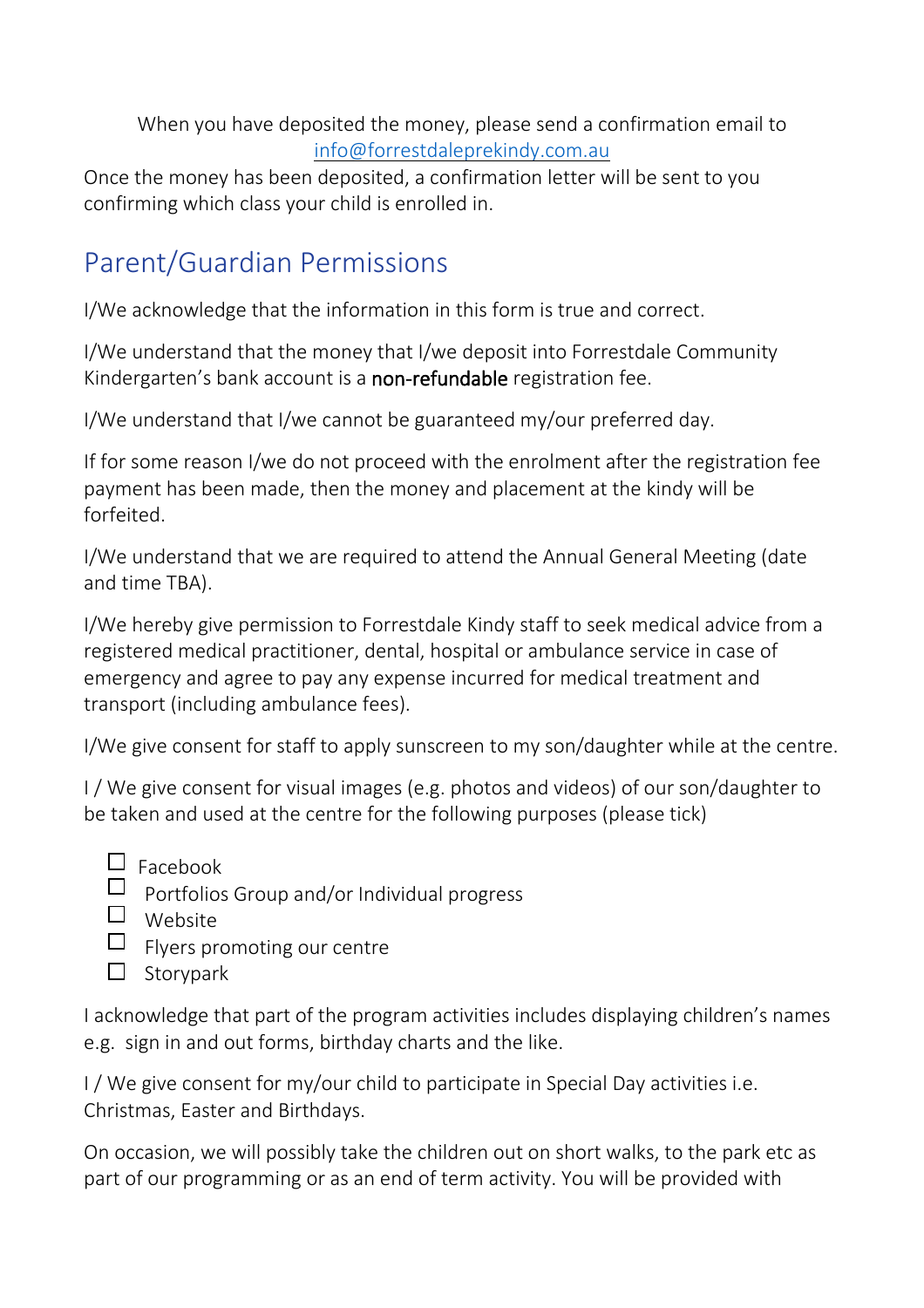When you have deposited the money, please send a confirmation email to [info@forrestdaleprekindy.com.au](mailto:info@forrestdaleprekindy.com.au)

Once the money has been deposited, a confirmation letter will be sent to you confirming which class your child is enrolled in.

### Parent/Guardian Permissions

I/We acknowledge that the information in this form is true and correct.

I/We understand that the money that I/we deposit into Forrestdale Community Kindergarten's bank account is a non-refundable registration fee.

I/We understand that I/we cannot be guaranteed my/our preferred day.

If for some reason I/we do not proceed with the enrolment after the registration fee payment has been made, then the money and placement at the kindy will be forfeited.

I/We understand that we are required to attend the Annual General Meeting (date and time TBA).

I/We hereby give permission to Forrestdale Kindy staff to seek medical advice from a registered medical practitioner, dental, hospital or ambulance service in case of emergency and agree to pay any expense incurred for medical treatment and transport (including ambulance fees).

I/We give consent for staff to apply sunscreen to my son/daughter while at the centre.

I / We give consent for visual images (e.g. photos and videos) of our son/daughter to be taken and used at the centre for the following purposes (please tick)

- $\Box$  Facebook
- $\Box$  Portfolios Group and/or Individual progress
- Website
- $\Box$  Flyers promoting our centre
- $\square$  Storypark

I acknowledge that part of the program activities includes displaying children's names e.g. sign in and out forms, birthday charts and the like.

I / We give consent for my/our child to participate in Special Day activities i.e. Christmas, Easter and Birthdays.

On occasion, we will possibly take the children out on short walks, to the park etc as part of our programming or as an end of term activity. You will be provided with